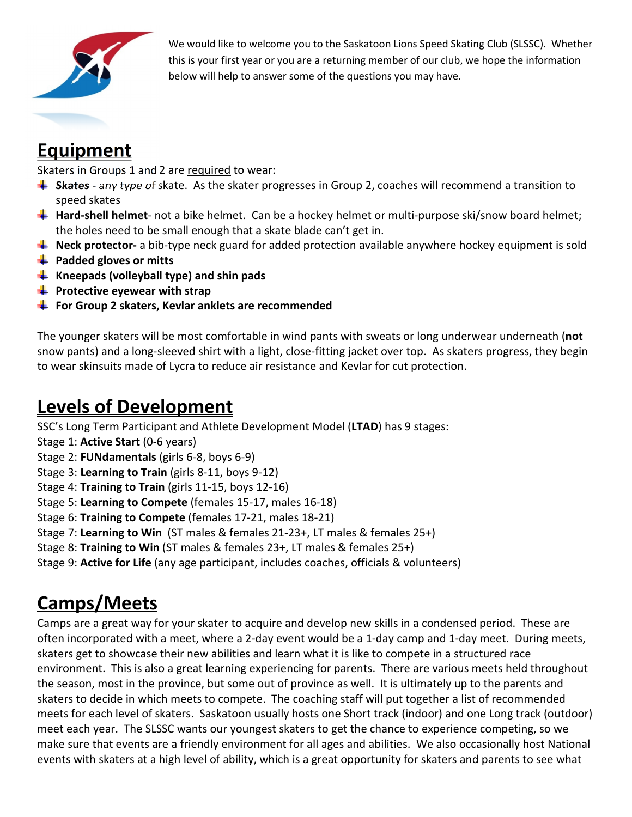

We would like to welcome you to the Saskatoon Lions Speed Skating Club (SLSSC). Whether this is your first year or you are a returning member of our club, we hope the information below will help to answer some of the questions you may have.

# **Equipment**

Skaters in Groups 1 and 2 are required to wear:

- **Skates** any type of skate. As the skater progresses in Group 2, coaches will recommend a transition to speed skates
- **Hard-shell helmet** not a bike helmet. Can be a hockey helmet or multi-purpose ski/snow board helmet; the holes need to be small enough that a skate blade can't get in.
- **L** Neck protector- a bib-type neck guard for added protection available anywhere hockey equipment is sold
- **Padded gloves or mitts**
- **Kneepads (volleyball type) and shin pads**
- **Protective eyewear with strap**
- **For Group 2 skaters, Kevlar anklets are recommended**

The younger skaters will be most comfortable in wind pants with sweats or long underwear underneath (**not** snow pants) and a long-sleeved shirt with a light, close-fitting jacket over top. As skaters progress, they begin to wear skinsuits made of Lycra to reduce air resistance and Kevlar for cut protection.

## **Levels of Development**

SSC's Long Term Participant and Athlete Development Model (**LTAD**) has 9 stages:

- Stage 1: **Active Start** (0-6 years)
- Stage 2: **FUNdamentals** (girls 6-8, boys 6-9)
- Stage 3: **Learning to Train** (girls 8-11, boys 9-12)
- Stage 4: **Training to Train** (girls 11-15, boys 12-16)
- Stage 5: **Learning to Compete** (females 15-17, males 16-18)
- Stage 6: **Training to Compete** (females 17-21, males 18-21)
- Stage 7: **Learning to Win** (ST males & females 21-23+, LT males & females 25+)
- Stage 8: **Training to Win** (ST males & females 23+, LT males & females 25+)
- Stage 9: **Active for Life** (any age participant, includes coaches, officials & volunteers)

## **Camps/Meets**

Camps are a great way for your skater to acquire and develop new skills in a condensed period. These are often incorporated with a meet, where a 2-day event would be a 1-day camp and 1-day meet. During meets, skaters get to showcase their new abilities and learn what it is like to compete in a structured race environment. This is also a great learning experiencing for parents. There are various meets held throughout the season, most in the province, but some out of province as well. It is ultimately up to the parents and skaters to decide in which meets to compete. The coaching staff will put together a list of recommended meets for each level of skaters. Saskatoon usually hosts one Short track (indoor) and one Long track (outdoor) meet each year. The SLSSC wants our youngest skaters to get the chance to experience competing, so we make sure that events are a friendly environment for all ages and abilities. We also occasionally host National events with skaters at a high level of ability, which is a great opportunity for skaters and parents to see what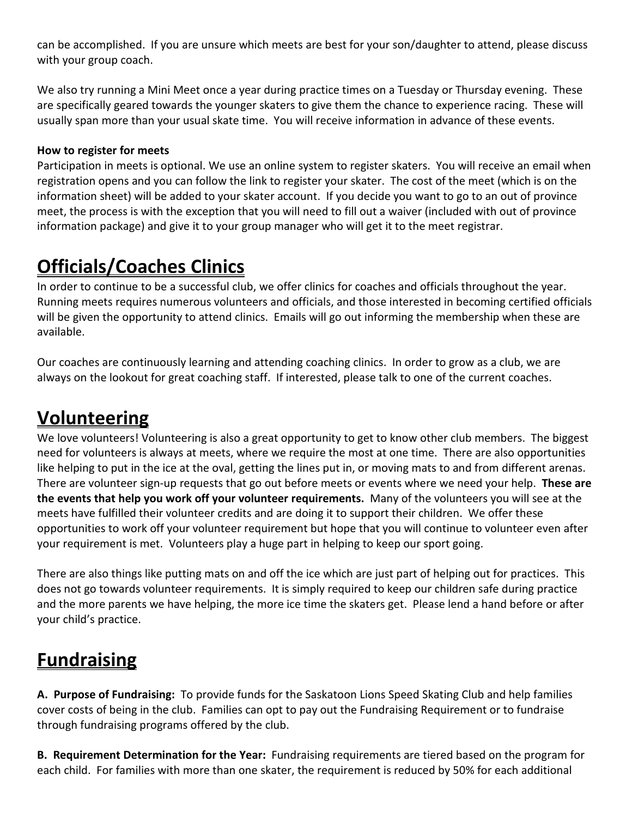can be accomplished. If you are unsure which meets are best for your son/daughter to attend, please discuss with your group coach.

We also try running a Mini Meet once a year during practice times on a Tuesday or Thursday evening. These are specifically geared towards the younger skaters to give them the chance to experience racing. These will usually span more than your usual skate time. You will receive information in advance of these events.

#### **How to register for meets**

Participation in meets is optional. We use an online system to register skaters. You will receive an email when registration opens and you can follow the link to register your skater. The cost of the meet (which is on the information sheet) will be added to your skater account. If you decide you want to go to an out of province meet, the process is with the exception that you will need to fill out a waiver (included with out of province information package) and give it to your group manager who will get it to the meet registrar.

#### **Officials/Coaches Clinics**

In order to continue to be a successful club, we offer clinics for coaches and officials throughout the year. Running meets requires numerous volunteers and officials, and those interested in becoming certified officials will be given the opportunity to attend clinics. Emails will go out informing the membership when these are available.

Our coaches are continuously learning and attending coaching clinics. In order to grow as a club, we are always on the lookout for great coaching staff. If interested, please talk to one of the current coaches.

## **Volunteering**

We love volunteers! Volunteering is also a great opportunity to get to know other club members. The biggest need for volunteers is always at meets, where we require the most at one time. There are also opportunities like helping to put in the ice at the oval, getting the lines put in, or moving mats to and from different arenas. There are volunteer sign-up requests that go out before meets or events where we need your help. **These are the events that help you work off your volunteer requirements.** Many of the volunteers you will see at the meets have fulfilled their volunteer credits and are doing it to support their children. We offer these opportunities to work off your volunteer requirement but hope that you will continue to volunteer even after your requirement is met. Volunteers play a huge part in helping to keep our sport going.

There are also things like putting mats on and off the ice which are just part of helping out for practices. This does not go towards volunteer requirements. It is simply required to keep our children safe during practice and the more parents we have helping, the more ice time the skaters get. Please lend a hand before or after your child's practice.

## **Fundraising**

**A. Purpose of Fundraising:** To provide funds for the Saskatoon Lions Speed Skating Club and help families cover costs of being in the club. Families can opt to pay out the Fundraising Requirement or to fundraise through fundraising programs offered by the club.

**B. Requirement Determination for the Year:** Fundraising requirements are tiered based on the program for each child. For families with more than one skater, the requirement is reduced by 50% for each additional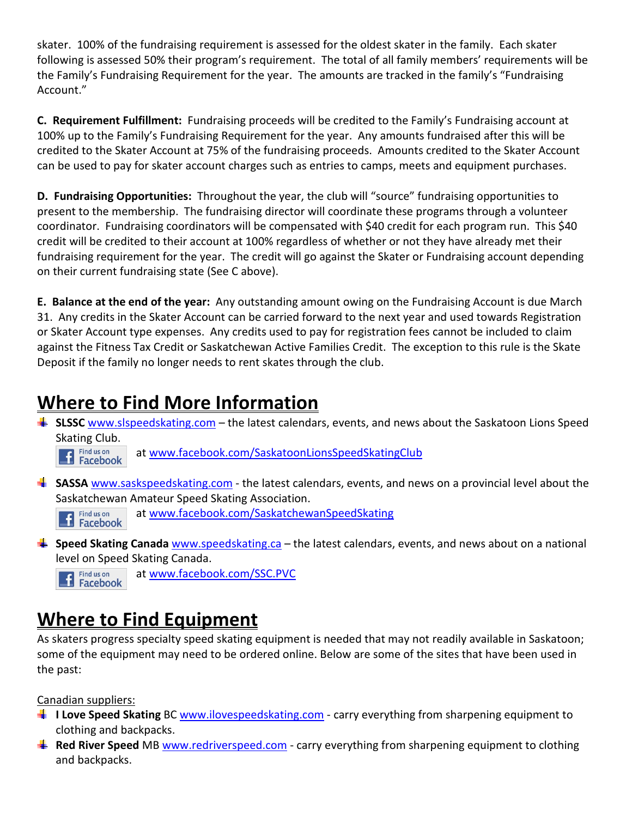skater. 100% of the fundraising requirement is assessed for the oldest skater in the family. Each skater following is assessed 50% their program's requirement. The total of all family members' requirements will be the Family's Fundraising Requirement for the year. The amounts are tracked in the family's "Fundraising Account."

**C. Requirement Fulfillment:** Fundraising proceeds will be credited to the Family's Fundraising account at 100% up to the Family's Fundraising Requirement for the year. Any amounts fundraised after this will be credited to the Skater Account at 75% of the fundraising proceeds. Amounts credited to the Skater Account can be used to pay for skater account charges such as entries to camps, meets and equipment purchases.

**D. Fundraising Opportunities:** Throughout the year, the club will "source" fundraising opportunities to present to the membership. The fundraising director will coordinate these programs through a volunteer coordinator. Fundraising coordinators will be compensated with \$40 credit for each program run. This \$40 credit will be credited to their account at 100% regardless of whether or not they have already met their fundraising requirement for the year. The credit will go against the Skater or Fundraising account depending on their current fundraising state (See C above).

**E. Balance at the end of the year:** Any outstanding amount owing on the Fundraising Account is due March 31. Any credits in the Skater Account can be carried forward to the next year and used towards Registration or Skater Account type expenses. Any credits used to pay for registration fees cannot be included to claim against the Fitness Tax Credit or Saskatchewan Active Families Credit. The exception to this rule is the Skate Deposit if the family no longer needs to rent skates through the club.

## **Where to Find More Information**

**SLSSC** www.slspeedskating.com – the latest calendars, events, and news about the Saskatoon Lions Speed Skating Club.

Find us on<br>Facebook at www.facebook.com/SaskatoonLionsSpeedSkatingClub

at www.facebook.com/SaskatchewanSpeedSkating

**SASSA** www.saskspeedskating.com - the latest calendars, events, and news on a provincial level about the Saskatchewan Amateur Speed Skating Association.

Find us on Facebook

**Speed Skating Canada** www.speedskating.ca – the latest calendars, events, and news about on a national level on Speed Skating Canada.

Find us on at www.facebook.com/SSC.PVC

#### Facebook

## **Where to Find Equipment**

As skaters progress specialty speed skating equipment is needed that may not readily available in Saskatoon; some of the equipment may need to be ordered online. Below are some of the sites that have been used in the past:

Canadian suppliers:

- **I** I Love Speed Skating BC www.ilovespeedskating.com carry everything from sharpening equipment to clothing and backpacks.
- **F** Red River Speed MB www.redriverspeed.com carry everything from sharpening equipment to clothing and backpacks.